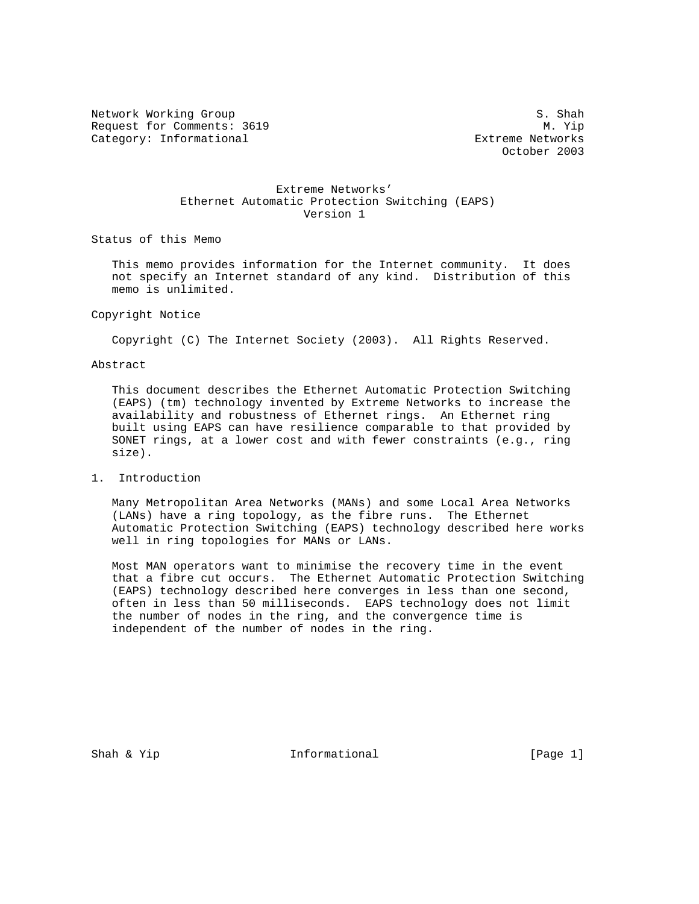Network Working Group S. Shah Request for Comments: 3619 M. Yip Category: Informational extreme Networks

October 2003

## Extreme Networks' Ethernet Automatic Protection Switching (EAPS) Version 1

Status of this Memo

 This memo provides information for the Internet community. It does not specify an Internet standard of any kind. Distribution of this memo is unlimited.

### Copyright Notice

Copyright (C) The Internet Society (2003). All Rights Reserved.

#### Abstract

 This document describes the Ethernet Automatic Protection Switching (EAPS) (tm) technology invented by Extreme Networks to increase the availability and robustness of Ethernet rings. An Ethernet ring built using EAPS can have resilience comparable to that provided by SONET rings, at a lower cost and with fewer constraints (e.g., ring size).

1. Introduction

 Many Metropolitan Area Networks (MANs) and some Local Area Networks (LANs) have a ring topology, as the fibre runs. The Ethernet Automatic Protection Switching (EAPS) technology described here works well in ring topologies for MANs or LANs.

 Most MAN operators want to minimise the recovery time in the event that a fibre cut occurs. The Ethernet Automatic Protection Switching (EAPS) technology described here converges in less than one second, often in less than 50 milliseconds. EAPS technology does not limit the number of nodes in the ring, and the convergence time is independent of the number of nodes in the ring.

Shah & Yip  $I_n$  Informational [Page 1]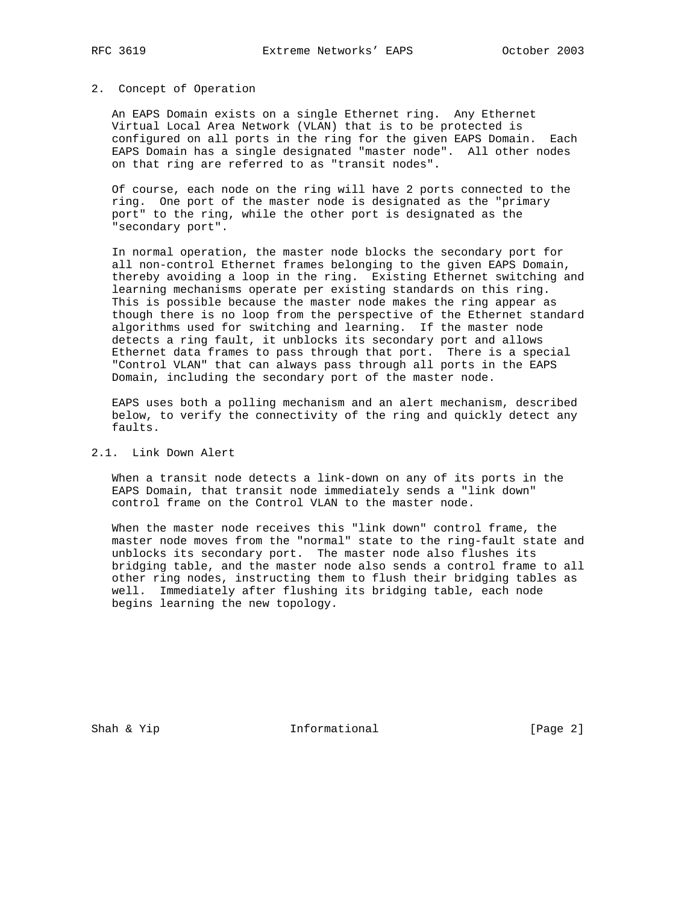#### 2. Concept of Operation

 An EAPS Domain exists on a single Ethernet ring. Any Ethernet Virtual Local Area Network (VLAN) that is to be protected is configured on all ports in the ring for the given EAPS Domain. Each EAPS Domain has a single designated "master node". All other nodes on that ring are referred to as "transit nodes".

 Of course, each node on the ring will have 2 ports connected to the ring. One port of the master node is designated as the "primary port" to the ring, while the other port is designated as the "secondary port".

 In normal operation, the master node blocks the secondary port for all non-control Ethernet frames belonging to the given EAPS Domain, thereby avoiding a loop in the ring. Existing Ethernet switching and learning mechanisms operate per existing standards on this ring. This is possible because the master node makes the ring appear as though there is no loop from the perspective of the Ethernet standard algorithms used for switching and learning. If the master node detects a ring fault, it unblocks its secondary port and allows Ethernet data frames to pass through that port. There is a special "Control VLAN" that can always pass through all ports in the EAPS Domain, including the secondary port of the master node.

 EAPS uses both a polling mechanism and an alert mechanism, described below, to verify the connectivity of the ring and quickly detect any faults.

# 2.1. Link Down Alert

 When a transit node detects a link-down on any of its ports in the EAPS Domain, that transit node immediately sends a "link down" control frame on the Control VLAN to the master node.

 When the master node receives this "link down" control frame, the master node moves from the "normal" state to the ring-fault state and unblocks its secondary port. The master node also flushes its bridging table, and the master node also sends a control frame to all other ring nodes, instructing them to flush their bridging tables as well. Immediately after flushing its bridging table, each node begins learning the new topology.

Shah & Yip **Informational** [Page 2]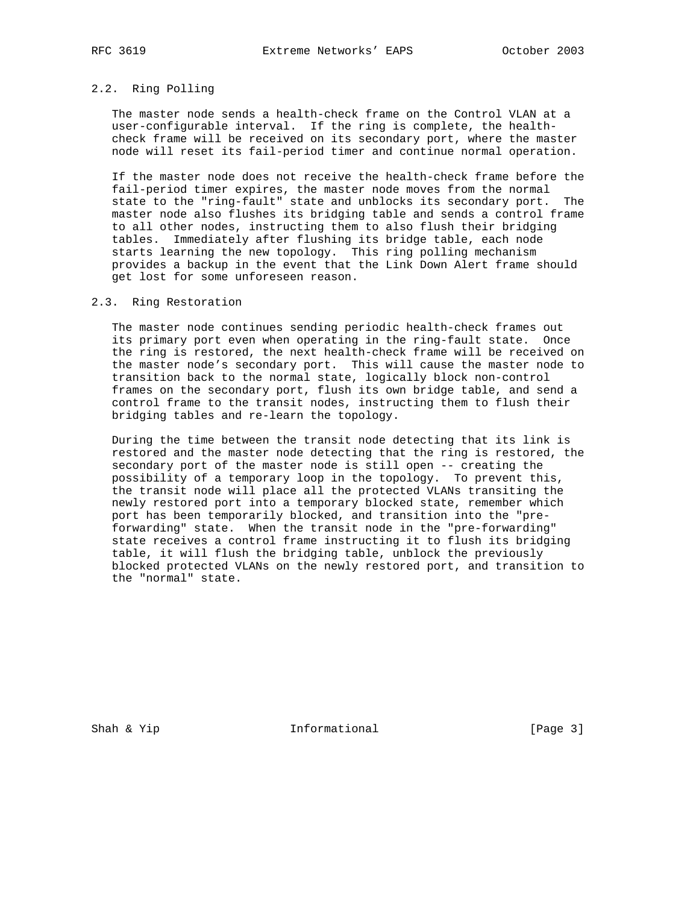# 2.2. Ring Polling

 The master node sends a health-check frame on the Control VLAN at a user-configurable interval. If the ring is complete, the health check frame will be received on its secondary port, where the master node will reset its fail-period timer and continue normal operation.

 If the master node does not receive the health-check frame before the fail-period timer expires, the master node moves from the normal state to the "ring-fault" state and unblocks its secondary port. The master node also flushes its bridging table and sends a control frame to all other nodes, instructing them to also flush their bridging tables. Immediately after flushing its bridge table, each node starts learning the new topology. This ring polling mechanism provides a backup in the event that the Link Down Alert frame should get lost for some unforeseen reason.

### 2.3. Ring Restoration

 The master node continues sending periodic health-check frames out its primary port even when operating in the ring-fault state. Once the ring is restored, the next health-check frame will be received on the master node's secondary port. This will cause the master node to transition back to the normal state, logically block non-control frames on the secondary port, flush its own bridge table, and send a control frame to the transit nodes, instructing them to flush their bridging tables and re-learn the topology.

 During the time between the transit node detecting that its link is restored and the master node detecting that the ring is restored, the secondary port of the master node is still open -- creating the possibility of a temporary loop in the topology. To prevent this, the transit node will place all the protected VLANs transiting the newly restored port into a temporary blocked state, remember which port has been temporarily blocked, and transition into the "pre forwarding" state. When the transit node in the "pre-forwarding" state receives a control frame instructing it to flush its bridging table, it will flush the bridging table, unblock the previously blocked protected VLANs on the newly restored port, and transition to the "normal" state.

Shah & Yip **Informational** [Page 3]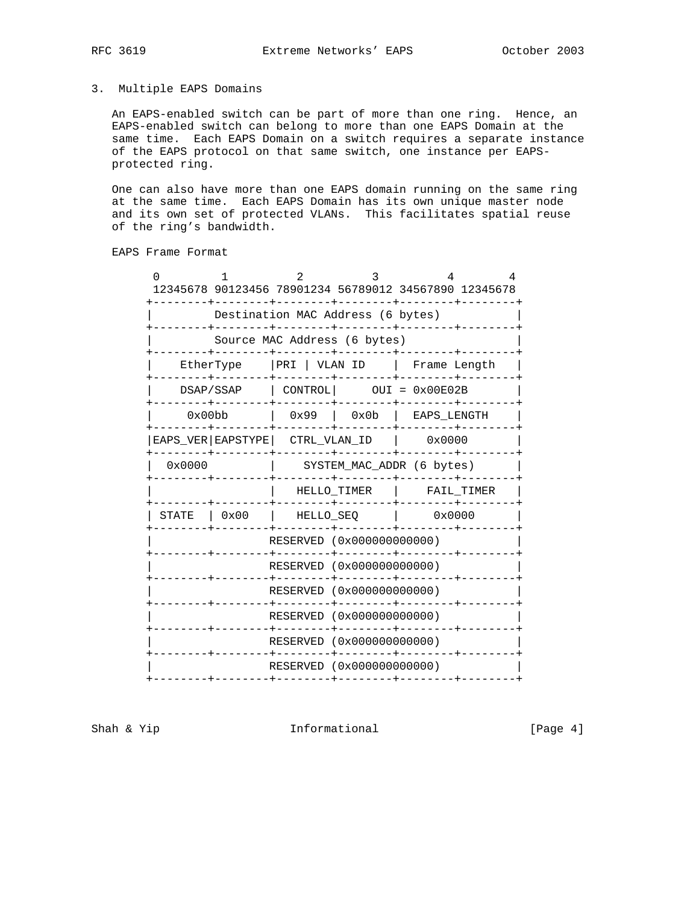# 3. Multiple EAPS Domains

 An EAPS-enabled switch can be part of more than one ring. Hence, an EAPS-enabled switch can belong to more than one EAPS Domain at the same time. Each EAPS Domain on a switch requires a separate instance of the EAPS protocol on that same switch, one instance per EAPS protected ring.

 One can also have more than one EAPS domain running on the same ring at the same time. Each EAPS Domain has its own unique master node and its own set of protected VLANs. This facilitates spatial reuse of the ring's bandwidth.

EAPS Frame Format

|  |                                                      |                                                       | 12345678 90123456 78901234 56789012 34567890 12345678 |              |                      | 4          |  |
|--|------------------------------------------------------|-------------------------------------------------------|-------------------------------------------------------|--------------|----------------------|------------|--|
|  |                                                      |                                                       | Destination MAC Address (6 bytes)                     |              |                      |            |  |
|  |                                                      | Source MAC Address (6 bytes)                          |                                                       |              |                      |            |  |
|  | EtherType                                            |                                                       | PRI   VLAN ID                                         |              | Frame Length         |            |  |
|  |                                                      | DSAP/SSAP                                             | CONTROL                                               |              | $OUT = 0x00E02B$     |            |  |
|  | 0x00bb                                               |                                                       | 0x99                                                  | 0x0b         | EAPS_LENGTH          |            |  |
|  |                                                      | EAPS_VER   EAPSTYPE                                   |                                                       | CTRL VLAN ID | $\sim 0 \times 0000$ |            |  |
|  | 0x0000                                               |                                                       | SYSTEM_MAC_ADDR (6 bytes)                             |              |                      |            |  |
|  |                                                      |                                                       |                                                       | HELLO TIMER  |                      | FAIL TIMER |  |
|  | STATE                                                | 0x00                                                  | HELLO SEQ                                             |              | 0x0000               |            |  |
|  |                                                      | RESERVED (0x00000000000)                              |                                                       |              |                      |            |  |
|  | RESERVED (0x00000000000)<br>RESERVED (0x00000000000) |                                                       |                                                       |              |                      |            |  |
|  |                                                      |                                                       |                                                       |              |                      |            |  |
|  |                                                      | RESERVED (0x000000000000)<br>RESERVED (0x00000000000) |                                                       |              |                      |            |  |
|  |                                                      |                                                       |                                                       |              |                      |            |  |
|  | RESERVED (0x00000000000)                             |                                                       |                                                       |              |                      |            |  |
|  |                                                      |                                                       |                                                       |              |                      |            |  |

Shah & Yip **Informational** [Page 4]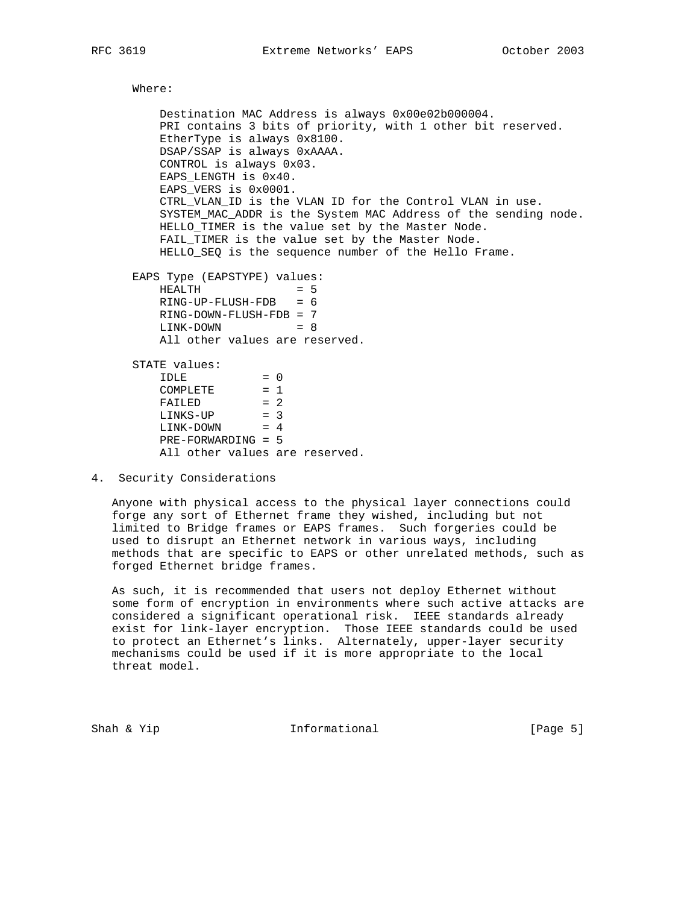Where: Destination MAC Address is always 0x00e02b000004. PRI contains 3 bits of priority, with 1 other bit reserved. EtherType is always 0x8100. DSAP/SSAP is always 0xAAAA. CONTROL is always 0x03. EAPS\_LENGTH is 0x40. EAPS\_VERS is 0x0001. CTRL VLAN ID is the VLAN ID for the Control VLAN in use. SYSTEM\_MAC\_ADDR is the System MAC Address of the sending node. HELLO\_TIMER is the value set by the Master Node. FAIL\_TIMER is the value set by the Master Node. HELLO\_SEQ is the sequence number of the Hello Frame. EAPS Type (EAPSTYPE) values:  $HEALTH$  = 5 RING-UP-FLUSH-FDB = 6 RING-DOWN-FLUSH-FDB = 7 LINK-DOWN = 8 All other values are reserved. STATE values:  $IDLE$  = 0  $COMPLETE$  = 1  $FAILED = 2$  $LINKS-UP = 3$  $LINK-DOWN = 4$  PRE-FORWARDING = 5 All other values are reserved.

4. Security Considerations

 Anyone with physical access to the physical layer connections could forge any sort of Ethernet frame they wished, including but not limited to Bridge frames or EAPS frames. Such forgeries could be used to disrupt an Ethernet network in various ways, including methods that are specific to EAPS or other unrelated methods, such as forged Ethernet bridge frames.

 As such, it is recommended that users not deploy Ethernet without some form of encryption in environments where such active attacks are considered a significant operational risk. IEEE standards already exist for link-layer encryption. Those IEEE standards could be used to protect an Ethernet's links. Alternately, upper-layer security mechanisms could be used if it is more appropriate to the local threat model.

Shah & Yip  $I_n$  Informational  $[Page 5]$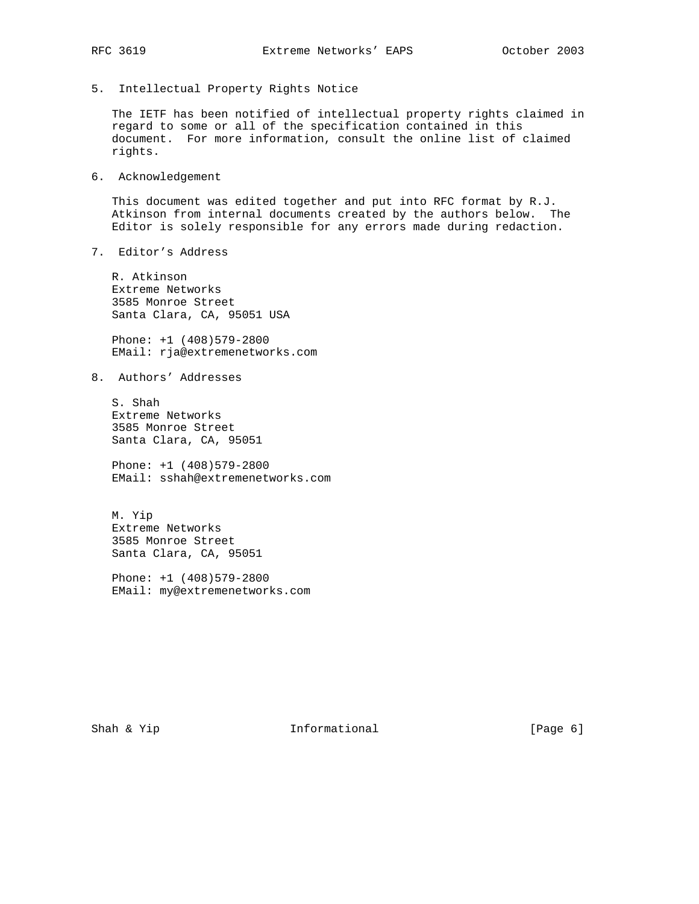5. Intellectual Property Rights Notice

 The IETF has been notified of intellectual property rights claimed in regard to some or all of the specification contained in this document. For more information, consult the online list of claimed rights.

6. Acknowledgement

 This document was edited together and put into RFC format by R.J. Atkinson from internal documents created by the authors below. The Editor is solely responsible for any errors made during redaction.

7. Editor's Address

 R. Atkinson Extreme Networks 3585 Monroe Street Santa Clara, CA, 95051 USA

 Phone: +1 (408)579-2800 EMail: rja@extremenetworks.com

8. Authors' Addresses

 S. Shah Extreme Networks 3585 Monroe Street Santa Clara, CA, 95051

 Phone: +1 (408)579-2800 EMail: sshah@extremenetworks.com

 M. Yip Extreme Networks 3585 Monroe Street Santa Clara, CA, 95051

 Phone: +1 (408)579-2800 EMail: my@extremenetworks.com

Shah & Yip **Informational** [Page 6]